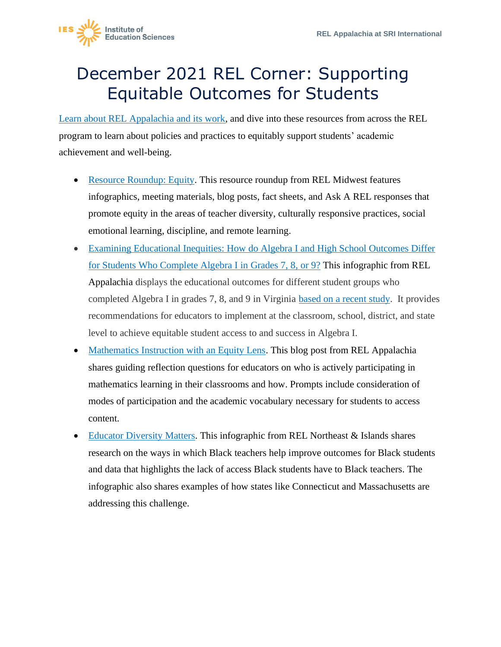

## December 2021 REL Corner: Supporting Equitable Outcomes for Students

[Learn about REL Appalachia and its work,](https://ies.ed.gov/ncee/edlabs/regions/appalachia/) and dive into these resources from across the REL program to learn about policies and practices to equitably support students' academic achievement and well-being.

- [Resource Roundup: Equity.](https://ies.ed.gov/ncee/edlabs/regions/midwest/blogs/resource-roundup-equity.aspx) This resource roundup from REL Midwest features infographics, meeting materials, blog posts, fact sheets, and Ask A REL responses that promote equity in the areas of teacher diversity, culturally responsive practices, social emotional learning, discipline, and remote learning.
- [Examining Educational Inequities: How do Algebra I and High School Outcomes Differ](https://ies.ed.gov/ncee/edlabs/infographics/pdf/REL_AP_Examining_Educational_Inequities.pdf)  [for Students Who Complete Algebra I in Grades 7, 8, or 9?](https://ies.ed.gov/ncee/edlabs/infographics/pdf/REL_AP_Examining_Educational_Inequities.pdf) This infographic from REL Appalachia displays the educational outcomes for different student groups who completed Algebra I in grades 7, 8, and 9 in Virginia [based on a recent study.](https://ies.ed.gov/ncee/edlabs/projects/project.asp?projectID=4577) It provides recommendations for educators to implement at the classroom, school, district, and state level to achieve equitable student access to and success in Algebra I.
- [Mathematics Instruction with an Equity Lens.](https://ies.ed.gov/ncee/edlabs/regions/appalachia/blogs/blog24-math-instruction-with-equity-lens.asp) This blog post from REL Appalachia shares guiding reflection questions for educators on who is actively participating in mathematics learning in their classrooms and how. Prompts include consideration of modes of participation and the academic vocabulary necessary for students to access content.
- **[Educator Diversity Matters.](https://ies.ed.gov/ncee/edlabs/regions/northeast/pdf/REL-NEI_Educator_Diversity_infographic.pdf) This infographic from REL Northeast & Islands shares** research on the ways in which Black teachers help improve outcomes for Black students and data that highlights the lack of access Black students have to Black teachers. The infographic also shares examples of how states like Connecticut and Massachusetts are addressing this challenge.